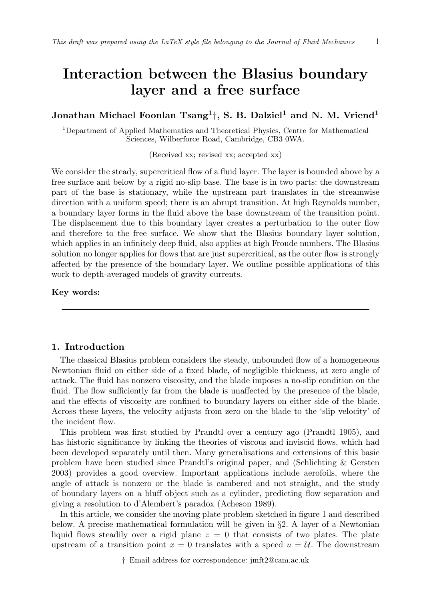# Interaction between the Blasius boundary layer and a free surface

# Jonathan Michael Foonlan  $\mathrm{Tsang^1\dag},$  S. B. Dalziel<sup>1</sup> and N. M. Vriend<sup>1</sup>

<sup>1</sup>Department of Applied Mathematics and Theoretical Physics, Centre for Mathematical Sciences, Wilberforce Road, Cambridge, CB3 0WA.

(Received xx; revised xx; accepted xx)

We consider the steady, supercritical flow of a fluid layer. The layer is bounded above by a free surface and below by a rigid no-slip base. The base is in two parts: the downstream part of the base is stationary, while the upstream part translates in the streamwise direction with a uniform speed; there is an abrupt transition. At high Reynolds number, a boundary layer forms in the fluid above the base downstream of the transition point. The displacement due to this boundary layer creates a perturbation to the outer flow and therefore to the free surface. We show that the Blasius boundary layer solution, which applies in an infinitely deep fluid, also applies at high Froude numbers. The Blasius solution no longer applies for flows that are just supercritical, as the outer flow is strongly affected by the presence of the boundary layer. We outline possible applications of this work to depth-averaged models of gravity currents.

# Key words:

# 1. Introduction

The classical Blasius problem considers the steady, unbounded flow of a homogeneous Newtonian fluid on either side of a fixed blade, of negligible thickness, at zero angle of attack. The fluid has nonzero viscosity, and the blade imposes a no-slip condition on the fluid. The flow sufficiently far from the blade is unaffected by the presence of the blade, and the effects of viscosity are confined to boundary layers on either side of the blade. Across these layers, the velocity adjusts from zero on the blade to the 'slip velocity' of the incident flow.

This problem was first studied by Prandtl over a century ago (Prandtl 1905), and has historic significance by linking the theories of viscous and inviscid flows, which had been developed separately until then. Many generalisations and extensions of this basic problem have been studied since Prandtl's original paper, and (Schlichting & Gersten 2003) provides a good overview. Important applications include aerofoils, where the angle of attack is nonzero or the blade is cambered and not straight, and the study of boundary layers on a bluff object such as a cylinder, predicting flow separation and giving a resolution to d'Alembert's paradox (Acheson 1989).

In this article, we consider the moving plate problem sketched in figure 1 and described below. A precise mathematical formulation will be given in §2. A layer of a Newtonian liquid flows steadily over a rigid plane  $z = 0$  that consists of two plates. The plate upstream of a transition point  $x = 0$  translates with a speed  $u = U$ . The downstream

† Email address for correspondence: jmft2@cam.ac.uk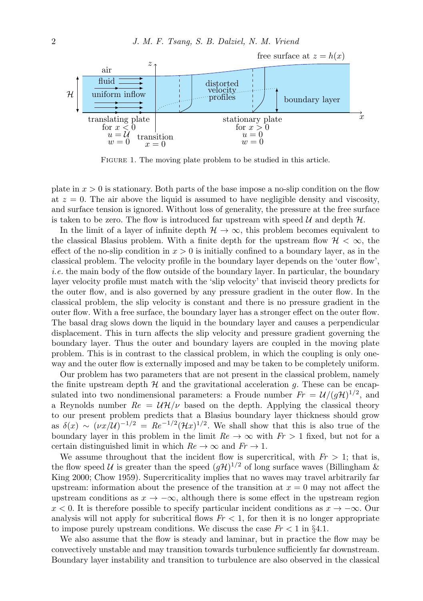

FIGURE 1. The moving plate problem to be studied in this article.

plate in  $x > 0$  is stationary. Both parts of the base impose a no-slip condition on the flow at  $z = 0$ . The air above the liquid is assumed to have negligible density and viscosity, and surface tension is ignored. Without loss of generality, the pressure at the free surface is taken to be zero. The flow is introduced far upstream with speed  $\mathcal U$  and depth  $\mathcal H$ .

In the limit of a layer of infinite depth  $\mathcal{H} \to \infty$ , this problem becomes equivalent to the classical Blasius problem. With a finite depth for the upstream flow  $\mathcal{H} < \infty$ , the effect of the no-slip condition in  $x > 0$  is initially confined to a boundary layer, as in the classical problem. The velocity profile in the boundary layer depends on the 'outer flow', i.e. the main body of the flow outside of the boundary layer. In particular, the boundary layer velocity profile must match with the 'slip velocity' that inviscid theory predicts for the outer flow, and is also governed by any pressure gradient in the outer flow. In the classical problem, the slip velocity is constant and there is no pressure gradient in the outer flow. With a free surface, the boundary layer has a stronger effect on the outer flow. The basal drag slows down the liquid in the boundary layer and causes a perpendicular displacement. This in turn affects the slip velocity and pressure gradient governing the boundary layer. Thus the outer and boundary layers are coupled in the moving plate problem. This is in contrast to the classical problem, in which the coupling is only oneway and the outer flow is externally imposed and may be taken to be completely uniform.

Our problem has two parameters that are not present in the classical problem, namely the finite upstream depth  $H$  and the gravitational acceleration q. These can be encapsulated into two nondimensional parameters: a Froude number  $Fr = \mathcal{U}/(g\mathcal{H})^{1/2}$ , and a Reynolds number  $Re = U \mathcal{H}/\nu$  based on the depth. Applying the classical theory to our present problem predicts that a Blasius boundary layer thickness should grow as  $\delta(x) \sim (\nu x/\mathcal{U})^{-1/2} = Re^{-1/2}(\mathcal{H}x)^{1/2}$ . We shall show that this is also true of the boundary layer in this problem in the limit  $Re \rightarrow \infty$  with  $Fr > 1$  fixed, but not for a certain distinguished limit in which  $Re \to \infty$  and  $Fr \to 1$ .

We assume throughout that the incident flow is supercritical, with  $Fr > 1$ ; that is, the flow speed U is greater than the speed  $(g\mathcal{H})^{1/2}$  of long surface waves (Billingham & King 2000; Chow 1959). Supercriticality implies that no waves may travel arbitrarily far upstream: information about the presence of the transition at  $x = 0$  may not affect the upstream conditions as  $x \to -\infty$ , although there is some effect in the upstream region  $x < 0$ . It is therefore possible to specify particular incident conditions as  $x \to -\infty$ . Our analysis will not apply for subcritical flows  $Fr < 1$ , for then it is no longer appropriate to impose purely upstream conditions. We discuss the case  $Fr < 1$  in §4.1.

We also assume that the flow is steady and laminar, but in practice the flow may be convectively unstable and may transition towards turbulence sufficiently far downstream. Boundary layer instability and transition to turbulence are also observed in the classical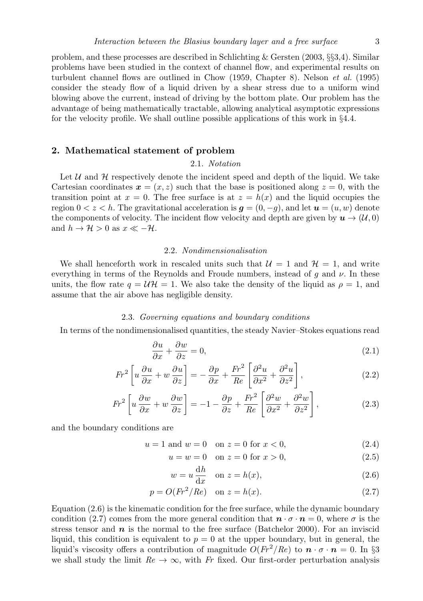problem, and these processes are described in Schlichting & Gersten (2003,  $\S 3,4$ ). Similar problems have been studied in the context of channel flow, and experimental results on turbulent channel flows are outlined in Chow (1959, Chapter 8). Nelson et al. (1995) consider the steady flow of a liquid driven by a shear stress due to a uniform wind blowing above the current, instead of driving by the bottom plate. Our problem has the advantage of being mathematically tractable, allowing analytical asymptotic expressions for the velocity profile. We shall outline possible applications of this work in §4.4.

## 2. Mathematical statement of problem

# 2.1. Notation

Let  $U$  and  $H$  respectively denote the incident speed and depth of the liquid. We take Cartesian coordinates  $x = (x, z)$  such that the base is positioned along  $z = 0$ , with the transition point at  $x = 0$ . The free surface is at  $z = h(x)$  and the liquid occupies the region  $0 < z < h$ . The gravitational acceleration is  $g = (0, -g)$ , and let  $u = (u, w)$  denote the components of velocity. The incident flow velocity and depth are given by  $u \to (\mathcal{U}, 0)$ and  $h \to \mathcal{H} > 0$  as  $x \ll -\mathcal{H}$ .

## 2.2. Nondimensionalisation

We shall henceforth work in rescaled units such that  $\mathcal{U} = 1$  and  $\mathcal{H} = 1$ , and write everything in terms of the Reynolds and Froude numbers, instead of g and  $\nu$ . In these units, the flow rate  $q = \mathcal{U}\mathcal{H} = 1$ . We also take the density of the liquid as  $\rho = 1$ , and assume that the air above has negligible density.

## 2.3. Governing equations and boundary conditions

In terms of the nondimensionalised quantities, the steady Navier–Stokes equations read

$$
\frac{\partial u}{\partial x} + \frac{\partial w}{\partial z} = 0,\t\t(2.1)
$$

$$
Fr^2 \left[ u \frac{\partial u}{\partial x} + w \frac{\partial u}{\partial z} \right] = -\frac{\partial p}{\partial x} + \frac{Fr^2}{Re} \left[ \frac{\partial^2 u}{\partial x^2} + \frac{\partial^2 u}{\partial z^2} \right],
$$
 (2.2)

$$
Fr^2 \left[ u \frac{\partial w}{\partial x} + w \frac{\partial w}{\partial z} \right] = -1 - \frac{\partial p}{\partial z} + \frac{Fr^2}{Re} \left[ \frac{\partial^2 w}{\partial x^2} + \frac{\partial^2 w}{\partial z^2} \right],
$$
 (2.3)

and the boundary conditions are

$$
u = 1 \text{ and } w = 0 \quad \text{on } z = 0 \text{ for } x < 0,\tag{2.4}
$$

$$
u = w = 0 \quad \text{on } z = 0 \text{ for } x > 0,
$$
\n(2.5)

$$
w = u \frac{dh}{dx} \quad \text{on } z = h(x), \tag{2.6}
$$

$$
p = O(Fr2/Re) \quad \text{on } z = h(x). \tag{2.7}
$$

Equation (2.6) is the kinematic condition for the free surface, while the dynamic boundary condition (2.7) comes from the more general condition that  $\mathbf{n} \cdot \mathbf{\sigma} \cdot \mathbf{n} = 0$ , where  $\mathbf{\sigma}$  is the stress tensor and  $n$  is the normal to the free surface (Batchelor 2000). For an inviscid liquid, this condition is equivalent to  $p = 0$  at the upper boundary, but in general, the liquid's viscosity offers a contribution of magnitude  $O(Fr^2/Re)$  to  $\mathbf{n} \cdot \sigma \cdot \mathbf{n} = 0$ . In §3 we shall study the limit  $Re \to \infty$ , with Fr fixed. Our first-order perturbation analysis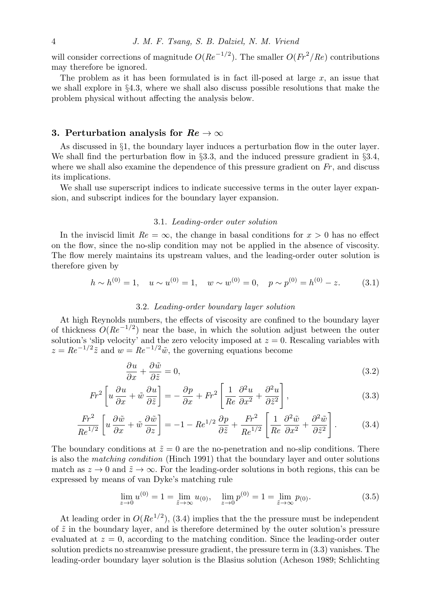will consider corrections of magnitude  $O(Re^{-1/2})$ . The smaller  $O(Fr^2/Re)$  contributions may therefore be ignored.

The problem as it has been formulated is in fact ill-posed at large  $x$ , an issue that we shall explore in §4.3, where we shall also discuss possible resolutions that make the problem physical without affecting the analysis below.

# 3. Perturbation analysis for  $Re \to \infty$

As discussed in §1, the boundary layer induces a perturbation flow in the outer layer. We shall find the perturbation flow in §3.3, and the induced pressure gradient in §3.4, where we shall also examine the dependence of this pressure gradient on  $Fr$ , and discuss its implications.

We shall use superscript indices to indicate successive terms in the outer layer expansion, and subscript indices for the boundary layer expansion.

## 3.1. Leading-order outer solution

In the inviscid limit  $Re = \infty$ , the change in basal conditions for  $x > 0$  has no effect on the flow, since the no-slip condition may not be applied in the absence of viscosity. The flow merely maintains its upstream values, and the leading-order outer solution is therefore given by

$$
h \sim h^{(0)} = 1, \quad u \sim u^{(0)} = 1, \quad w \sim w^{(0)} = 0, \quad p \sim p^{(0)} = h^{(0)} - z. \tag{3.1}
$$

## 3.2. Leading-order boundary layer solution

At high Reynolds numbers, the effects of viscosity are confined to the boundary layer of thickness  $O(Re^{-1/2})$  near the base, in which the solution adjust between the outer solution's 'slip velocity' and the zero velocity imposed at  $z = 0$ . Rescaling variables with  $z = Re^{-1/2}\tilde{z}$  and  $w = Re^{-1/2}\tilde{w}$ , the governing equations become

$$
\frac{\partial u}{\partial x} + \frac{\partial \tilde{w}}{\partial \tilde{z}} = 0,\tag{3.2}
$$

$$
Fr^2 \left[ u \frac{\partial u}{\partial x} + \tilde{w} \frac{\partial u}{\partial \tilde{z}} \right] = -\frac{\partial p}{\partial x} + Fr^2 \left[ \frac{1}{Re} \frac{\partial^2 u}{\partial x^2} + \frac{\partial^2 u}{\partial \tilde{z}^2} \right],
$$
(3.3)

$$
\frac{Fr^2}{Re^{1/2}} \left[ u \frac{\partial \tilde{w}}{\partial x} + \tilde{w} \frac{\partial \tilde{w}}{\partial z} \right] = -1 - Re^{1/2} \frac{\partial p}{\partial \tilde{z}} + \frac{Fr^2}{Re^{1/2}} \left[ \frac{1}{Re} \frac{\partial^2 \tilde{w}}{\partial x^2} + \frac{\partial^2 \tilde{w}}{\partial \tilde{z}^2} \right].
$$
 (3.4)

The boundary conditions at  $\tilde{z} = 0$  are the no-penetration and no-slip conditions. There is also the matching condition (Hinch 1991) that the boundary layer and outer solutions match as  $z \to 0$  and  $\tilde{z} \to \infty$ . For the leading-order solutions in both regions, this can be expressed by means of van Dyke's matching rule

$$
\lim_{z \to 0} u^{(0)} = 1 = \lim_{\tilde{z} \to \infty} u_{(0)}, \quad \lim_{z \to 0} p^{(0)} = 1 = \lim_{\tilde{z} \to \infty} p_{(0)}.
$$
\n(3.5)

At leading order in  $O(Re^{1/2})$ , (3.4) implies that the the pressure must be independent of  $\tilde{z}$  in the boundary layer, and is therefore determined by the outer solution's pressure evaluated at  $z = 0$ , according to the matching condition. Since the leading-order outer solution predicts no streamwise pressure gradient, the pressure term in (3.3) vanishes. The leading-order boundary layer solution is the Blasius solution (Acheson 1989; Schlichting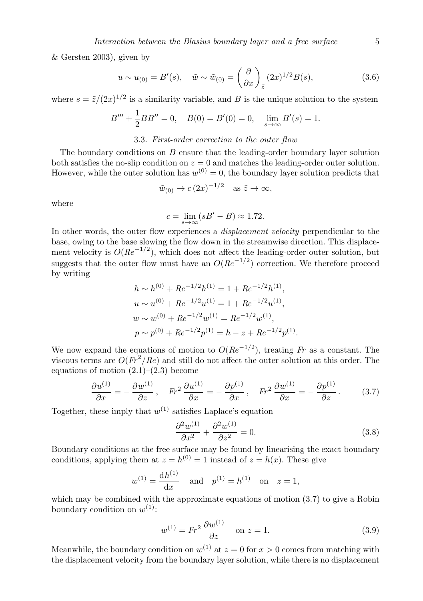& Gersten 2003), given by

$$
u \sim u_{(0)} = B'(s), \quad \tilde{w} \sim \tilde{w}_{(0)} = \left(\frac{\partial}{\partial x}\right)_{\tilde{z}} (2x)^{1/2} B(s),
$$
 (3.6)

where  $s = \tilde{z}/(2x)^{1/2}$  is a similarity variable, and B is the unique solution to the system

$$
B''' + \frac{1}{2}BB'' = 0, \quad B(0) = B'(0) = 0, \quad \lim_{s \to \infty} B'(s) = 1.
$$

# 3.3. First-order correction to the outer flow

The boundary conditions on B ensure that the leading-order boundary layer solution both satisfies the no-slip condition on  $z = 0$  and matches the leading-order outer solution. However, while the outer solution has  $w^{(0)} = 0$ , the boundary layer solution predicts that

$$
\tilde{w}_{(0)} \to c (2x)^{-1/2}
$$
 as  $\tilde{z} \to \infty$ ,

where

$$
c = \lim_{s \to \infty} (sB' - B) \approx 1.72.
$$

In other words, the outer flow experiences a *displacement velocity* perpendicular to the base, owing to the base slowing the flow down in the streamwise direction. This displacement velocity is  $O(Re^{-1/2})$ , which does not affect the leading-order outer solution, but suggests that the outer flow must have an  $O(Re^{-1/2})$  correction. We therefore proceed by writing

$$
h \sim h^{(0)} + Re^{-1/2}h^{(1)} = 1 + Re^{-1/2}h^{(1)},
$$
  
\n
$$
u \sim u^{(0)} + Re^{-1/2}u^{(1)} = 1 + Re^{-1/2}u^{(1)},
$$
  
\n
$$
w \sim w^{(0)} + Re^{-1/2}w^{(1)} = Re^{-1/2}w^{(1)},
$$
  
\n
$$
p \sim p^{(0)} + Re^{-1/2}p^{(1)} = h - z + Re^{-1/2}p^{(1)}.
$$

We now expand the equations of motion to  $O(Re^{-1/2})$ , treating Fr as a constant. The viscous terms are  $O(Fr^2/Re)$  and still do not affect the outer solution at this order. The equations of motion  $(2.1)$ – $(2.3)$  become

$$
\frac{\partial u^{(1)}}{\partial x} = -\frac{\partial w^{(1)}}{\partial z}, \quad Fr^2 \frac{\partial u^{(1)}}{\partial x} = -\frac{\partial p^{(1)}}{\partial x}, \quad Fr^2 \frac{\partial w^{(1)}}{\partial x} = -\frac{\partial p^{(1)}}{\partial z}.
$$
 (3.7)

Together, these imply that  $w^{(1)}$  satisfies Laplace's equation

$$
\frac{\partial^2 w^{(1)}}{\partial x^2} + \frac{\partial^2 w^{(1)}}{\partial z^2} = 0.
$$
\n(3.8)

Boundary conditions at the free surface may be found by linearising the exact boundary conditions, applying them at  $z = h^{(0)} = 1$  instead of  $z = h(x)$ . These give

$$
w^{(1)} = \frac{dh^{(1)}}{dx}
$$
 and  $p^{(1)} = h^{(1)}$  on  $z = 1$ ,

which may be combined with the approximate equations of motion  $(3.7)$  to give a Robin boundary condition on  $w^{(1)}$ :

$$
w^{(1)} = Fr^2 \frac{\partial w^{(1)}}{\partial z} \quad \text{on } z = 1.
$$
 (3.9)

Meanwhile, the boundary condition on  $w^{(1)}$  at  $z = 0$  for  $x > 0$  comes from matching with the displacement velocity from the boundary layer solution, while there is no displacement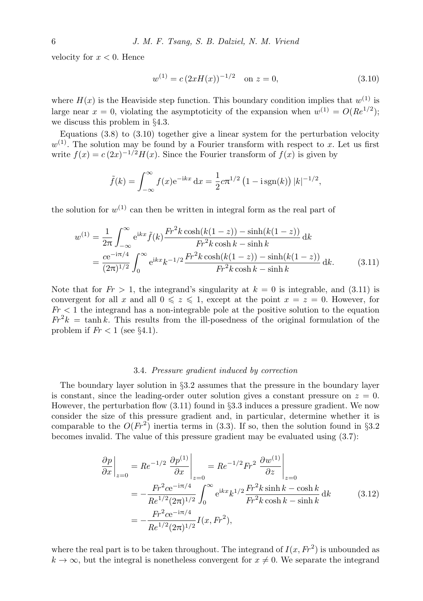velocity for  $x < 0$ . Hence

$$
w^{(1)} = c \left(2xH(x)\right)^{-1/2} \quad \text{on } z = 0,
$$
\n(3.10)

where  $H(x)$  is the Heaviside step function. This boundary condition implies that  $w^{(1)}$  is large near  $x = 0$ , violating the asymptoticity of the expansion when  $w^{(1)} = O(Re^{1/2})$ ; we discuss this problem in §4.3.

Equations  $(3.8)$  to  $(3.10)$  together give a linear system for the perturbation velocity  $w^{(1)}$ . The solution may be found by a Fourier transform with respect to x. Let us first write  $f(x) = c(2x)^{-1/2}H(x)$ . Since the Fourier transform of  $f(x)$  is given by

$$
\tilde{f}(k) = \int_{-\infty}^{\infty} f(x)e^{-ikx} dx = \frac{1}{2}c\pi^{1/2} (1 - i \operatorname{sgn}(k)) |k|^{-1/2},
$$

the solution for  $w^{(1)}$  can then be written in integral form as the real part of

$$
w^{(1)} = \frac{1}{2\pi} \int_{-\infty}^{\infty} e^{ikx} \tilde{f}(k) \frac{Fr^2 k \cosh(k(1-z)) - \sinh(k(1-z))}{Fr^2 k \cosh k - \sinh k} dk
$$
  
= 
$$
\frac{ce^{-i\pi/4}}{(2\pi)^{1/2}} \int_{0}^{\infty} e^{ikx} k^{-1/2} \frac{Fr^2 k \cosh(k(1-z)) - \sinh(k(1-z))}{Fr^2 k \cosh k - \sinh k} dk.
$$
(3.11)

Note that for  $Fr > 1$ , the integrand's singularity at  $k = 0$  is integrable, and (3.11) is convergent for all x and all  $0 \leq z \leq 1$ , except at the point  $x = z = 0$ . However, for  $Fr < 1$  the integrand has a non-integrable pole at the positive solution to the equation  $Fr<sup>2</sup>k = \tanh k$ . This results from the ill-posedness of the original formulation of the problem if  $Fr < 1$  (see §4.1).

#### 3.4. Pressure gradient induced by correction

The boundary layer solution in  $\S 3.2$  assumes that the pressure in the boundary layer is constant, since the leading-order outer solution gives a constant pressure on  $z = 0$ . However, the perturbation flow (3.11) found in §3.3 induces a pressure gradient. We now consider the size of this pressure gradient and, in particular, determine whether it is comparable to the  $O(Fr^2)$  inertia terms in (3.3). If so, then the solution found in §3.2 becomes invalid. The value of this pressure gradient may be evaluated using (3.7):

$$
\frac{\partial p}{\partial x}\Big|_{z=0} = Re^{-1/2} \frac{\partial p^{(1)}}{\partial x}\Big|_{z=0} = Re^{-1/2} Fr^2 \frac{\partial w^{(1)}}{\partial z}\Big|_{z=0}
$$
  
\n
$$
= -\frac{Fr^2 ce^{-i\pi/4}}{Re^{1/2}(2\pi)^{1/2}} \int_0^\infty e^{ikx} k^{1/2} \frac{Fr^2 k \sinh k - \cosh k}{Fr^2 k \cosh k - \sinh k} dk
$$
(3.12)  
\n
$$
= -\frac{Fr^2 ce^{-i\pi/4}}{Re^{1/2}(2\pi)^{1/2}} I(x, Fr^2),
$$

where the real part is to be taken throughout. The integrand of  $I(x, Fr^2)$  is unbounded as  $k \to \infty$ , but the integral is nonetheless convergent for  $x \neq 0$ . We separate the integrand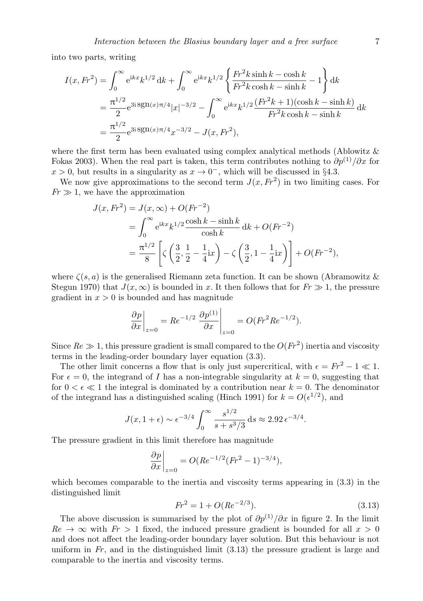into two parts, writing

$$
I(x, Fr^2) = \int_0^\infty e^{ikx} k^{1/2} dk + \int_0^\infty e^{ikx} k^{1/2} \left\{ \frac{Fr^2 k \sinh k - \cosh k}{Fr^2 k \cosh k - \sinh k} - 1 \right\} dk
$$
  
=  $\frac{\pi^{1/2}}{2} e^{3i \text{sgn}(x)\pi/4} |x|^{-3/2} - \int_0^\infty e^{ikx} k^{1/2} \frac{(Fr^2 k + 1)(\cosh k - \sinh k)}{Fr^2 k \cosh k - \sinh k} dk$   
=  $\frac{\pi^{1/2}}{2} e^{3i \text{sgn}(x)\pi/4} x^{-3/2} - J(x, Fr^2),$ 

where the first term has been evaluated using complex analytical methods (Ablowitz  $\&$ Fokas 2003). When the real part is taken, this term contributes nothing to  $\partial p^{(1)}/\partial x$  for  $x > 0$ , but results in a singularity as  $x \to 0^-$ , which will be discussed in §4.3.

We now give approximations to the second term  $J(x, Fr^2)$  in two limiting cases. For  $Fr \gg 1$ , we have the approximation

$$
J(x, Fr^2) = J(x, \infty) + O(Fr^{-2})
$$
  
=  $\int_0^{\infty} e^{ikx} k^{1/2} \frac{\cosh k - \sinh k}{\cosh k} dk + O(Fr^{-2})$   
=  $\frac{\pi^{1/2}}{8} \left[ \zeta \left( \frac{3}{2}, \frac{1}{2} - \frac{1}{4} i x \right) - \zeta \left( \frac{3}{2}, 1 - \frac{1}{4} i x \right) \right] + O(Fr^{-2}),$ 

where  $\zeta(s, a)$  is the generalised Riemann zeta function. It can be shown (Abramowitz & Stegun 1970) that  $J(x,\infty)$  is bounded in x. It then follows that for  $Fr \gg 1$ , the pressure gradient in  $x > 0$  is bounded and has magnitude

$$
\left. \frac{\partial p}{\partial x} \right|_{z=0} = Re^{-1/2} \left. \frac{\partial p^{(1)}}{\partial x} \right|_{z=0} = O(Fr^2 Re^{-1/2}).
$$

Since  $Re \gg 1$ , this pressure gradient is small compared to the  $O(Fr^2)$  inertia and viscosity terms in the leading-order boundary layer equation (3.3).

The other limit concerns a flow that is only just supercritical, with  $\epsilon = Fr^2 - 1 \ll 1$ . For  $\epsilon = 0$ , the integrand of I has a non-integrable singularity at  $k = 0$ , suggesting that for  $0 < \epsilon \ll 1$  the integral is dominated by a contribution near  $k = 0$ . The denominator of the integrand has a distinguished scaling (Hinch 1991) for  $k = O(\epsilon^{1/2})$ , and

$$
J(x, 1 + \epsilon) \sim \epsilon^{-3/4} \int_0^{\infty} \frac{s^{1/2}}{s + s^3/3} ds \approx 2.92 \epsilon^{-3/4}.
$$

The pressure gradient in this limit therefore has magnitude

$$
\left. \frac{\partial p}{\partial x} \right|_{z=0} = O(Re^{-1/2}(Fr^2 - 1)^{-3/4}),
$$

which becomes comparable to the inertia and viscosity terms appearing in (3.3) in the distinguished limit

$$
Fr^2 = 1 + O(Re^{-2/3}).
$$
\n(3.13)

The above discussion is summarised by the plot of  $\partial p^{(1)}/\partial x$  in figure 2. In the limit  $Re \rightarrow \infty$  with  $Fr > 1$  fixed, the induced pressure gradient is bounded for all  $x > 0$ and does not affect the leading-order boundary layer solution. But this behaviour is not uniform in  $Fr$ , and in the distinguished limit  $(3.13)$  the pressure gradient is large and comparable to the inertia and viscosity terms.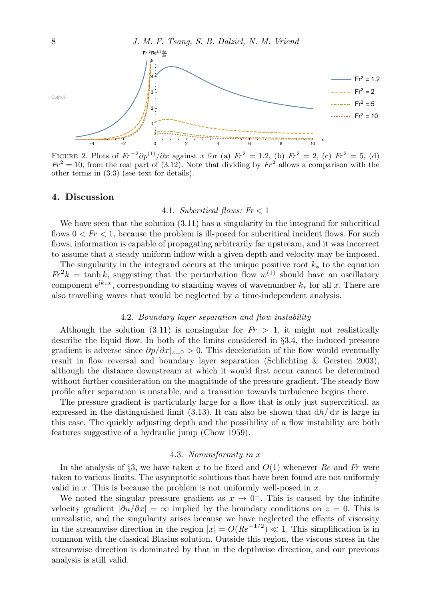

FIGURE 2. Plots of  $Fr^{-2}\partial p^{(1)}/\partial x$  against x for (a)  $Fr^2 = 1.2$ , (b)  $Fr^2 = 2$ , (c)  $Fr^2 = 5$ , (d)  $Fr^2 = 10$ , from the real part of (3.12). Note that dividing by  $Fr^2$  allows a comparison with the other terms in (3.3) (see text for details).

## 4. Discussion

### 4.1. Subcritical flows:  $Fr < 1$

We have seen that the solution (3.11) has a singularity in the integrand for subcritical flows  $0 < Fr < 1$ , because the problem is ill-posed for subcritical incident flows. For such flows, information is capable of propagating arbitrarily far upstream, and it was incorrect to assume that a steady uniform inflow with a given depth and velocity may be imposed.

The singularity in the integrand occurs at the unique positive root  $k_*$  to the equation  $Fr^2 k = \tanh k$ , suggesting that the perturbation flow  $w^{(1)}$  should have an oscillatory component  $e^{ik_*x}$ , corresponding to standing waves of wavenumber  $k_*$  for all x. There are also travelling waves that would be neglected by a time-independent analysis.

## 4.2. Boundary layer separation and flow instability

Although the solution (3.11) is nonsingular for  $Fr > 1$ , it might not realistically describe the liquid flow. In both of the limits considered in §3.4, the induced pressure gradient is adverse since  $\partial p/\partial x|_{z=0} > 0$ . This deceleration of the flow would eventually result in flow reversal and boundary layer separation (Schlichting & Gersten 2003), although the distance downstream at which it would first occur cannot be determined without further consideration on the magnitude of the pressure gradient. The steady flow profile after separation is unstable, and a transition towards turbulence begins there.

The pressure gradient is particularly large for a flow that is only just supercritical, as expressed in the distinguished limit (3.13). It can also be shown that  $dh/dx$  is large in this case. The quickly adjusting depth and the possibility of a flow instability are both features suggestive of a hydraulic jump (Chow 1959).

## 4.3. Nonuniformity in x

In the analysis of §3, we have taken x to be fixed and  $O(1)$  whenever Re and Fr were taken to various limits. The asymptotic solutions that have been found are not uniformly valid in  $x$ . This is because the problem is not uniformly well-posed in  $x$ .

We noted the singular pressure gradient as  $x \to 0^-$ . This is caused by the infinite velocity gradient  $|\partial u/\partial x| = \infty$  implied by the boundary conditions on  $z = 0$ . This is unrealistic, and the singularity arises because we have neglected the effects of viscosity in the streamwise direction in the region  $|x| = O(Re^{-1/2}) \ll 1$ . This simplification is in common with the classical Blasius solution. Outside this region, the viscous stress in the streamwise direction is dominated by that in the depthwise direction, and our previous analysis is still valid.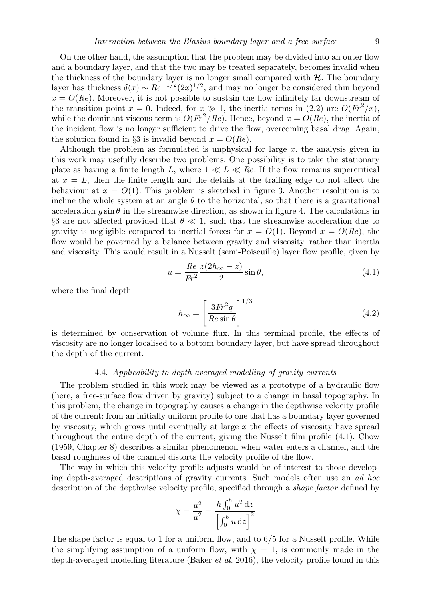On the other hand, the assumption that the problem may be divided into an outer flow and a boundary layer, and that the two may be treated separately, becomes invalid when the thickness of the boundary layer is no longer small compared with  $H$ . The boundary layer has thickness  $\delta(x) \sim Re^{-1/2}(2x)^{1/2}$ , and may no longer be considered thin beyond  $x = O(Re)$ . Moreover, it is not possible to sustain the flow infinitely far downstream of the transition point  $x = 0$ . Indeed, for  $x \gg 1$ , the inertia terms in (2.2) are  $O(Fr^2/x)$ , while the dominant viscous term is  $O(Fr^2/Re)$ . Hence, beyond  $x = O(Re)$ , the inertia of the incident flow is no longer sufficient to drive the flow, overcoming basal drag. Again, the solution found in §3 is invalid beyond  $x = O(Re)$ .

Although the problem as formulated is unphysical for large  $x$ , the analysis given in this work may usefully describe two problems. One possibility is to take the stationary plate as having a finite length L, where  $1 \ll L \ll Re$ . If the flow remains supercritical at  $x = L$ , then the finite length and the details at the trailing edge do not affect the behaviour at  $x = O(1)$ . This problem is sketched in figure 3. Another resolution is to incline the whole system at an angle  $\theta$  to the horizontal, so that there is a gravitational acceleration g sin  $\theta$  in the streamwise direction, as shown in figure 4. The calculations in §3 are not affected provided that  $\theta \ll 1$ , such that the streamwise acceleration due to gravity is negligible compared to inertial forces for  $x = O(1)$ . Beyond  $x = O(Re)$ , the flow would be governed by a balance between gravity and viscosity, rather than inertia and viscosity. This would result in a Nusselt (semi-Poiseuille) layer flow profile, given by

$$
u = \frac{Re \ z(2h_{\infty} - z)}{Fr^2} \sin \theta, \tag{4.1}
$$

where the final depth

$$
h_{\infty} = \left[\frac{3Fr^2 q}{Re \sin \theta}\right]^{1/3} \tag{4.2}
$$

is determined by conservation of volume flux. In this terminal profile, the effects of viscosity are no longer localised to a bottom boundary layer, but have spread throughout the depth of the current.

#### 4.4. Applicability to depth-averaged modelling of gravity currents

The problem studied in this work may be viewed as a prototype of a hydraulic flow (here, a free-surface flow driven by gravity) subject to a change in basal topography. In this problem, the change in topography causes a change in the depthwise velocity profile of the current: from an initially uniform profile to one that has a boundary layer governed by viscosity, which grows until eventually at large  $x$  the effects of viscosity have spread throughout the entire depth of the current, giving the Nusselt film profile (4.1). Chow (1959, Chapter 8) describes a similar phenomenon when water enters a channel, and the basal roughness of the channel distorts the velocity profile of the flow.

The way in which this velocity profile adjusts would be of interest to those developing depth-averaged descriptions of gravity currents. Such models often use an ad hoc description of the depthwise velocity profile, specified through a shape factor defined by

$$
\chi = \frac{\overline{u^2}}{\overline{u}^2} = \frac{h \int_0^h u^2 \, \mathrm{d}z}{\left[ \int_0^h u \, \mathrm{d}z \right]^2}
$$

The shape factor is equal to 1 for a uniform flow, and to  $6/5$  for a Nusselt profile. While the simplifying assumption of a uniform flow, with  $\chi = 1$ , is commonly made in the depth-averaged modelling literature (Baker et al. 2016), the velocity profile found in this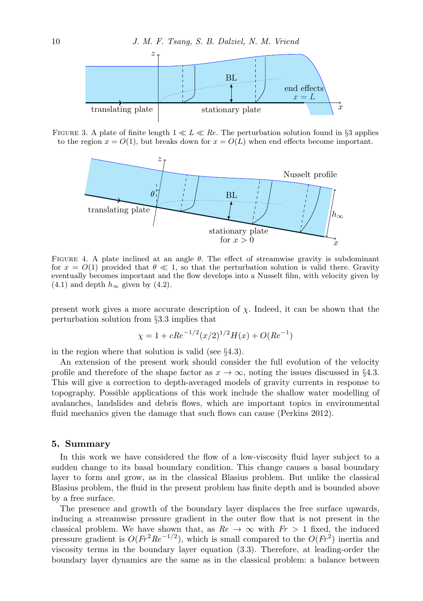

FIGURE 3. A plate of finite length  $1 \ll L \ll Re$ . The perturbation solution found in §3 applies to the region  $x = O(1)$ , but breaks down for  $x = O(L)$  when end effects become important.



FIGURE 4. A plate inclined at an angle  $\theta$ . The effect of streamwise gravity is subdominant for  $x = O(1)$  provided that  $\theta \ll 1$ , so that the perturbation solution is valid there. Gravity eventually becomes important and the flow develops into a Nusselt film, with velocity given by (4.1) and depth  $h_{\infty}$  given by (4.2).

present work gives a more accurate description of  $\chi$ . Indeed, it can be shown that the perturbation solution from §3.3 implies that

$$
\chi = 1 + cRe^{-1/2}(x/2)^{1/2}H(x) + O(Re^{-1})
$$

in the region where that solution is valid (see §4.3).

An extension of the present work should consider the full evolution of the velocity profile and therefore of the shape factor as  $x \to \infty$ , noting the issues discussed in §4.3. This will give a correction to depth-averaged models of gravity currents in response to topography. Possible applications of this work include the shallow water modelling of avalanches, landslides and debris flows, which are important topics in environmental fluid mechanics given the damage that such flows can cause (Perkins 2012).

# 5. Summary

In this work we have considered the flow of a low-viscosity fluid layer subject to a sudden change to its basal boundary condition. This change causes a basal boundary layer to form and grow, as in the classical Blasius problem. But unlike the classical Blasius problem, the fluid in the present problem has finite depth and is bounded above by a free surface.

The presence and growth of the boundary layer displaces the free surface upwards, inducing a streamwise pressure gradient in the outer flow that is not present in the classical problem. We have shown that, as  $Re \rightarrow \infty$  with  $Fr > 1$  fixed, the induced pressure gradient is  $O(Fr^2Re^{-1/2})$ , which is small compared to the  $O(Fr^2)$  inertia and viscosity terms in the boundary layer equation (3.3). Therefore, at leading-order the boundary layer dynamics are the same as in the classical problem: a balance between